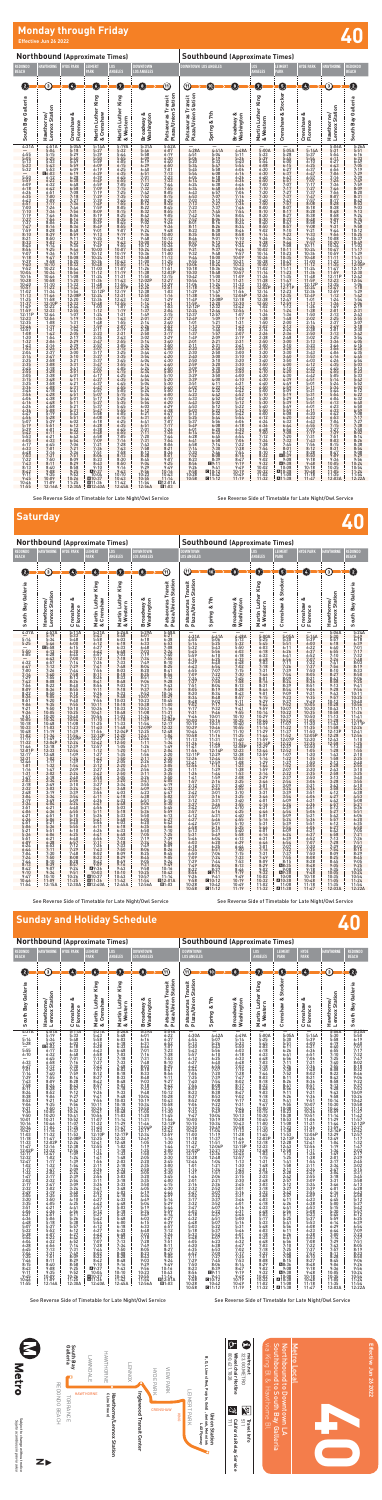**40**

ᠹᢪ  $\bf \Phi$ via King Bl & Hawthorne Bl

Southbound to South Bay Galleria Northbound to Downtown LA

bound to South Bay Galleria bound to Downtown LA



Metro Local

 $16001$ 

Subject to change without notice<br>Subjeto a cambios sin previo aviso Subject to change without notice *Sujeto a cambios sin previo aviso*







**Galleria South Bay** HAWTHORNE HAWTHORNE Whee<br>800. met<br> $323.$ 800.621.7828 **Wheelchair Hotline** 323.GO.METRO **metro.net** LAWNDALE LAWNDALE **B, D, L Lines (Red, Purple, Gold) , Amtrak, Metrolink** elchair Hotline ro.net **LENNOX** LENNOX I, LLines (Red, Purple, Gold) , Amtrak, Metrolink 821.7828 **GOMETRO** HYDE PARK **VIEW PARK** g Bl & Hawthorne Bl VIEW PARK HYDE PARK REDONDO BEACH REDONDO BEACH HAWTHORNE LEIMERT PARK Hawthorne/Lennox Station<br><sup>CLine (Green)</sup> Inglewood Transit Center LEIMERT PARK **TORRANCE Inglewood Transit Center C Line (Green) Hawthorne/Lennox Station** TORRANCE CRENSHAW پ **511**<br>**SN** 511 **Union Station** KING **Union Station** | California Relay Service<br>| 711 **California Relay Service Travel Info** LAX Flyaway **LAX Flyaway**

## **Effective Jun 26 2022 40 Monday through Friday**

#### **Northbound (Approximate Times) Southbound (Approximate Times) HAWTHORNE HYDE PARK LEIMERT REDONDO LOS ANGELES DOWNTOWN LOS ANGELES DOWNTOWN LOS ANGELES LEIMERT PARK HYDE PARK HAWTHORNE REDONDO BEACH BEACH PARK LOS ANGELES** 0<del>--</del>0<del>--0--0--0--</del>0 0<del>--0--0--0--0--0--</del>0-<del>-</del>0 Patsaouras Transit<br>Plaza/Union Station **Plaza/Union Station** Crenshaw & Stocker **Crenshaw & Stocker** Martin Luther King Martin Luther King **Martin Luther King Patsaouras Transit Plaza/Union Station Patsaouras Transit Plaza/Union Station** Martin Luther King **Martin Luther King**  South Bay Galleria Patsaouras Transit South Bay Galleria **South Bay Galleria Martin Luther King South Bay Galleria Lennox Station** Hawthorne/<br>Lennox Station **Lennox Station Lennox Station**  $\begin{small} \textbf{5}_{\text{6}} \textbf{5}_{\text{6}} \textbf{5}_{\text{6}} \textbf{5}_{\text{6}} \textbf{5}_{\text{6}} \textbf{5}_{\text{6}} \textbf{5}_{\text{6}} \textbf{5}_{\text{6}} \textbf{5}_{\text{6}} \textbf{6}_{\text{6}} \textbf{6}_{\text{6}} \textbf{6}_{\text{6}} \textbf{6}_{\text{6}} \textbf{6}_{\text{6}} \textbf{6}_{\text{6}} \textbf{6}_{\text{6}} \textbf{6}_{\text{6}} \textbf{6}_{\text{6}} \textbf{6}_{\text{6}} \textbf{6}_{$ Crenshaw & Spring & 7th Crenshaw & **Hawthorne/ Crenshaw & Broadway & Washington Spring & 7th** Broadway & **Broadway & Crenshaw & Hawthorne/**  & Crenshaw **& Crenshaw** Washington **Washington** Hawthorne/ & Western & Western **& Western & Western Florence Florence**  $\begin{small} \begin{bmatrix} 1.300 & 0.420 & 0.424 & 0.004 & 0.0004 & 0.0004 & 0.0004 & 0.0004 & 0.0004 & 0.0004 & 0.0004 & 0.0004 & 0.0004 & 0.0004 & 0.0004 & 0.0004 & 0.0004 & 0.0004 & 0.0004 & 0.0004 & 0.0004 & 0.0004 & 0.0004 & 0.0004 & 0.0004 & 0.0004 & 0.00$

## **40 Saturday**

See Reverse Side of Timetable for Late Night/Owl Service

North

| <b>Northbound (Approximate Times)</b>                                                                                                                                                                                                                                                                                                                                                                                                                                                                                                                                                                                                                                                                                                      |                                                                                                                                                                                                                                                                                                                                                                                                                                                                                                                                                                                                                                                                                                                                                                                                                                                                                                                         |                                                                                                                                                                                                                                                                                                                                                                                                                                                                                                                                                                                                                                                                                                                                                                                                                                                                                                                                                                                           |                                                                                                                                                                                                                                                                                                                                                                                                                                                                                                                                                                                                                                                                                                                                                                                                                                                                                             |                                                                                                                                                                                                                                                                                                                                                                                                                                                                                                                                                                                                                                                                                                                                                                                                                                                                                                                                                              |                                                                                                                                                                                                                                                                                                                                                                                                                                                                                                                                                                                                                                                                                                                                                                                                                                                                                                     |                                                                                                                                                                                                                                                                                                                                                                                                                                                                                                                                                                                                                                                                                                                                                                                                                                                 | <b>Southbound (Approximate Times)</b>                                                                                                                                                                                                                                                                                                                                                                                                                                                                                                                                                                                                                                                                                                                                                                                                                                              |                                                                                                                                                                                                                                                                                                                                                                                                                                                                                                                                                                                                                                                                                                                                                                                                         |                                                                                                                                                                                                                                                                                                                                                                                                                                                                                                                                                                                                                                                                                                                                                                                                                                                                                             |                                                                                                                                                                                                                                                                                                                                                                                                                                                                                                                                                                                                                                                                                                                                                                                              |                                                                                                                                                                                                                                                                                                                                                                                                                                                                                                                                                                                                                                                                                                                                                                                                                                                |                                                                                                                                                                                                                                                                                                                                                                                                                                                                                                                                                                                                                                                                                                                                                                                          |                                                                                                                                                                                                                                                                                                                                                                                                                                                                                                                                                                                                                                                                                                                                                                                                                                                            |                                                                                                                                                                                                                                                                                                                                                                                                                                                                                                                                                                                                                                                                                               |
|--------------------------------------------------------------------------------------------------------------------------------------------------------------------------------------------------------------------------------------------------------------------------------------------------------------------------------------------------------------------------------------------------------------------------------------------------------------------------------------------------------------------------------------------------------------------------------------------------------------------------------------------------------------------------------------------------------------------------------------------|-------------------------------------------------------------------------------------------------------------------------------------------------------------------------------------------------------------------------------------------------------------------------------------------------------------------------------------------------------------------------------------------------------------------------------------------------------------------------------------------------------------------------------------------------------------------------------------------------------------------------------------------------------------------------------------------------------------------------------------------------------------------------------------------------------------------------------------------------------------------------------------------------------------------------|-------------------------------------------------------------------------------------------------------------------------------------------------------------------------------------------------------------------------------------------------------------------------------------------------------------------------------------------------------------------------------------------------------------------------------------------------------------------------------------------------------------------------------------------------------------------------------------------------------------------------------------------------------------------------------------------------------------------------------------------------------------------------------------------------------------------------------------------------------------------------------------------------------------------------------------------------------------------------------------------|---------------------------------------------------------------------------------------------------------------------------------------------------------------------------------------------------------------------------------------------------------------------------------------------------------------------------------------------------------------------------------------------------------------------------------------------------------------------------------------------------------------------------------------------------------------------------------------------------------------------------------------------------------------------------------------------------------------------------------------------------------------------------------------------------------------------------------------------------------------------------------------------|--------------------------------------------------------------------------------------------------------------------------------------------------------------------------------------------------------------------------------------------------------------------------------------------------------------------------------------------------------------------------------------------------------------------------------------------------------------------------------------------------------------------------------------------------------------------------------------------------------------------------------------------------------------------------------------------------------------------------------------------------------------------------------------------------------------------------------------------------------------------------------------------------------------------------------------------------------------|-----------------------------------------------------------------------------------------------------------------------------------------------------------------------------------------------------------------------------------------------------------------------------------------------------------------------------------------------------------------------------------------------------------------------------------------------------------------------------------------------------------------------------------------------------------------------------------------------------------------------------------------------------------------------------------------------------------------------------------------------------------------------------------------------------------------------------------------------------------------------------------------------------|-------------------------------------------------------------------------------------------------------------------------------------------------------------------------------------------------------------------------------------------------------------------------------------------------------------------------------------------------------------------------------------------------------------------------------------------------------------------------------------------------------------------------------------------------------------------------------------------------------------------------------------------------------------------------------------------------------------------------------------------------------------------------------------------------------------------------------------------------|------------------------------------------------------------------------------------------------------------------------------------------------------------------------------------------------------------------------------------------------------------------------------------------------------------------------------------------------------------------------------------------------------------------------------------------------------------------------------------------------------------------------------------------------------------------------------------------------------------------------------------------------------------------------------------------------------------------------------------------------------------------------------------------------------------------------------------------------------------------------------------|---------------------------------------------------------------------------------------------------------------------------------------------------------------------------------------------------------------------------------------------------------------------------------------------------------------------------------------------------------------------------------------------------------------------------------------------------------------------------------------------------------------------------------------------------------------------------------------------------------------------------------------------------------------------------------------------------------------------------------------------------------------------------------------------------------|---------------------------------------------------------------------------------------------------------------------------------------------------------------------------------------------------------------------------------------------------------------------------------------------------------------------------------------------------------------------------------------------------------------------------------------------------------------------------------------------------------------------------------------------------------------------------------------------------------------------------------------------------------------------------------------------------------------------------------------------------------------------------------------------------------------------------------------------------------------------------------------------|----------------------------------------------------------------------------------------------------------------------------------------------------------------------------------------------------------------------------------------------------------------------------------------------------------------------------------------------------------------------------------------------------------------------------------------------------------------------------------------------------------------------------------------------------------------------------------------------------------------------------------------------------------------------------------------------------------------------------------------------------------------------------------------------|------------------------------------------------------------------------------------------------------------------------------------------------------------------------------------------------------------------------------------------------------------------------------------------------------------------------------------------------------------------------------------------------------------------------------------------------------------------------------------------------------------------------------------------------------------------------------------------------------------------------------------------------------------------------------------------------------------------------------------------------------------------------------------------------------------------------------------------------|------------------------------------------------------------------------------------------------------------------------------------------------------------------------------------------------------------------------------------------------------------------------------------------------------------------------------------------------------------------------------------------------------------------------------------------------------------------------------------------------------------------------------------------------------------------------------------------------------------------------------------------------------------------------------------------------------------------------------------------------------------------------------------------|------------------------------------------------------------------------------------------------------------------------------------------------------------------------------------------------------------------------------------------------------------------------------------------------------------------------------------------------------------------------------------------------------------------------------------------------------------------------------------------------------------------------------------------------------------------------------------------------------------------------------------------------------------------------------------------------------------------------------------------------------------------------------------------------------------------------------------------------------------|-----------------------------------------------------------------------------------------------------------------------------------------------------------------------------------------------------------------------------------------------------------------------------------------------------------------------------------------------------------------------------------------------------------------------------------------------------------------------------------------------------------------------------------------------------------------------------------------------------------------------------------------------------------------------------------------------|
| <b>REDONDO</b><br><b>BEACH</b>                                                                                                                                                                                                                                                                                                                                                                                                                                                                                                                                                                                                                                                                                                             | <b>HAWTHORNE</b>                                                                                                                                                                                                                                                                                                                                                                                                                                                                                                                                                                                                                                                                                                                                                                                                                                                                                                        | <b>HYDE PARK</b>                                                                                                                                                                                                                                                                                                                                                                                                                                                                                                                                                                                                                                                                                                                                                                                                                                                                                                                                                                          | <b>LEIMERT</b><br><b>PARK</b>                                                                                                                                                                                                                                                                                                                                                                                                                                                                                                                                                                                                                                                                                                                                                                                                                                                               | <b>LOS</b><br><b>ANGELES</b>                                                                                                                                                                                                                                                                                                                                                                                                                                                                                                                                                                                                                                                                                                                                                                                                                                                                                                                                 | <b>DOWNTOWN</b><br><b>LOS ANGELES</b>                                                                                                                                                                                                                                                                                                                                                                                                                                                                                                                                                                                                                                                                                                                                                                                                                                                               |                                                                                                                                                                                                                                                                                                                                                                                                                                                                                                                                                                                                                                                                                                                                                                                                                                                 | <b>DOWNTOWN LOS ANGELES</b>                                                                                                                                                                                                                                                                                                                                                                                                                                                                                                                                                                                                                                                                                                                                                                                                                                                        |                                                                                                                                                                                                                                                                                                                                                                                                                                                                                                                                                                                                                                                                                                                                                                                                         |                                                                                                                                                                                                                                                                                                                                                                                                                                                                                                                                                                                                                                                                                                                                                                                                                                                                                             | LOS<br>ANGELES                                                                                                                                                                                                                                                                                                                                                                                                                                                                                                                                                                                                                                                                                                                                                                               | <b>LEIMERT</b><br><b>PARK</b>                                                                                                                                                                                                                                                                                                                                                                                                                                                                                                                                                                                                                                                                                                                                                                                                                  | <b>HYDE PARK</b>                                                                                                                                                                                                                                                                                                                                                                                                                                                                                                                                                                                                                                                                                                                                                                         | <b>HAWTHORNE</b>                                                                                                                                                                                                                                                                                                                                                                                                                                                                                                                                                                                                                                                                                                                                                                                                                                           | <b>REDONDO</b><br><b>BEACH</b>                                                                                                                                                                                                                                                                                                                                                                                                                                                                                                                                                                                                                                                                |
| $\mathbf{2}$                                                                                                                                                                                                                                                                                                                                                                                                                                                                                                                                                                                                                                                                                                                               | 3)                                                                                                                                                                                                                                                                                                                                                                                                                                                                                                                                                                                                                                                                                                                                                                                                                                                                                                                      | Ø                                                                                                                                                                                                                                                                                                                                                                                                                                                                                                                                                                                                                                                                                                                                                                                                                                                                                                                                                                                         | O                                                                                                                                                                                                                                                                                                                                                                                                                                                                                                                                                                                                                                                                                                                                                                                                                                                                                           | 0                                                                                                                                                                                                                                                                                                                                                                                                                                                                                                                                                                                                                                                                                                                                                                                                                                                                                                                                                            | $\left[ \begin{array}{c} 3 \end{array} \right]$                                                                                                                                                                                                                                                                                                                                                                                                                                                                                                                                                                                                                                                                                                                                                                                                                                                     | ⑪                                                                                                                                                                                                                                                                                                                                                                                                                                                                                                                                                                                                                                                                                                                                                                                                                                               | ➀                                                                                                                                                                                                                                                                                                                                                                                                                                                                                                                                                                                                                                                                                                                                                                                                                                                                                  | $\ket{10}$                                                                                                                                                                                                                                                                                                                                                                                                                                                                                                                                                                                                                                                                                                                                                                                              | $\left[ \begin{array}{c} 8 \end{array} \right]$                                                                                                                                                                                                                                                                                                                                                                                                                                                                                                                                                                                                                                                                                                                                                                                                                                             | $\overline{\mathbf{z}}$                                                                                                                                                                                                                                                                                                                                                                                                                                                                                                                                                                                                                                                                                                                                                                      | O                                                                                                                                                                                                                                                                                                                                                                                                                                                                                                                                                                                                                                                                                                                                                                                                                                              | Ø                                                                                                                                                                                                                                                                                                                                                                                                                                                                                                                                                                                                                                                                                                                                                                                        | ③                                                                                                                                                                                                                                                                                                                                                                                                                                                                                                                                                                                                                                                                                                                                                                                                                                                          | 0                                                                                                                                                                                                                                                                                                                                                                                                                                                                                                                                                                                                                                                                                             |
| South Bay Galleria                                                                                                                                                                                                                                                                                                                                                                                                                                                                                                                                                                                                                                                                                                                         | Lennox Station<br>Hawthorne/                                                                                                                                                                                                                                                                                                                                                                                                                                                                                                                                                                                                                                                                                                                                                                                                                                                                                            | ఱ<br>Crenshaw<br>Florence                                                                                                                                                                                                                                                                                                                                                                                                                                                                                                                                                                                                                                                                                                                                                                                                                                                                                                                                                                 | King<br>Martin Luther<br>& Crenshaw                                                                                                                                                                                                                                                                                                                                                                                                                                                                                                                                                                                                                                                                                                                                                                                                                                                         | King<br>Luther<br>& Western<br>Martin I                                                                                                                                                                                                                                                                                                                                                                                                                                                                                                                                                                                                                                                                                                                                                                                                                                                                                                                      | ంర<br>Washington<br>Broadway                                                                                                                                                                                                                                                                                                                                                                                                                                                                                                                                                                                                                                                                                                                                                                                                                                                                        | Plaza/Union Station<br>Transit<br>Patsaouras                                                                                                                                                                                                                                                                                                                                                                                                                                                                                                                                                                                                                                                                                                                                                                                                    | Plaza/Union Station<br>Patsaouras Transit                                                                                                                                                                                                                                                                                                                                                                                                                                                                                                                                                                                                                                                                                                                                                                                                                                          | 7th<br>ઌ<br>Spring                                                                                                                                                                                                                                                                                                                                                                                                                                                                                                                                                                                                                                                                                                                                                                                      | ఱ<br>Washington<br>Broadway                                                                                                                                                                                                                                                                                                                                                                                                                                                                                                                                                                                                                                                                                                                                                                                                                                                                 | King<br>Martin Luther<br>& Western                                                                                                                                                                                                                                                                                                                                                                                                                                                                                                                                                                                                                                                                                                                                                           | Stocker<br>Crenshaw &                                                                                                                                                                                                                                                                                                                                                                                                                                                                                                                                                                                                                                                                                                                                                                                                                          | ఱ<br>Crenshaw<br>Florence                                                                                                                                                                                                                                                                                                                                                                                                                                                                                                                                                                                                                                                                                                                                                                | Lennox Station<br>Hawthorne/                                                                                                                                                                                                                                                                                                                                                                                                                                                                                                                                                                                                                                                                                                                                                                                                                               | South Bay Galleria                                                                                                                                                                                                                                                                                                                                                                                                                                                                                                                                                                                                                                                                            |
| 4:31A<br>$4:55$<br>$5:05$<br>$\frac{5:13}{5:23}$<br>5:23<br>5:50<br>5:59<br>6:09<br>6:18<br>6:26<br>6:35<br>$6:51$<br>$7:00$<br>7:10<br>$7:19$<br>$7:27$<br>$7:37$<br>$7:47$<br>7:59<br>8:10<br>8:21<br>8:33<br>8:45<br>8:56<br>$9:18$<br>$9:29$<br>9:40<br>9<br>52<br>10:04<br>10:16<br>10:<br>:28<br>$10:40$<br>$10:51$<br>11:02<br>11:13<br>11:25<br>11:49<br>11:59<br>12:11P<br>12:23<br>12:46<br>1:08<br>$1:20$<br>$1:32$<br>$1:43$<br>$1:53$<br>$2:04$<br>$2:14$<br>25<br>35<br>3:05<br>$3:15$<br>$3:25$<br>3:46<br>3:56<br>4:06<br>4:16<br>$4:36$<br>$4:47$<br>$4:56$<br>$\frac{5:07}{5:19}$<br>$5:29$<br>$5:42$<br>$5:53$<br>6:05<br>6:33<br>$6:48$<br>$7:03$<br>$7:22$<br>$7:43$<br>$8:13$<br>$8:42$<br>$9:11$<br>$9:45$<br>10:46 | $4:51A$<br>$5:04$<br>$5:15$<br>$5:25$<br>$5:33$<br>$5:43$<br>53<br>目6:03<br>6:12<br>$6:22$<br>$6:32$<br>$6:42$<br>$6:51$<br>$7:00$<br>$7:09$<br>$7:17$<br>$7:26$<br>$7:36$<br>$7:46$<br>$7:56$<br>$8:06$<br>$8:16$<br>$8:28$<br>$8:39$<br>$8:50$<br>$9:02$<br>$9:14$<br>9<br>:25<br>ġ.<br>36<br>9<br>:47<br>9<br>58<br>10:10<br>$\frac{10:22}{10:34}$<br>10:46<br>10:58<br>$\frac{11:10}{11:22}$<br>$\frac{11:34}{11:46}$<br>11:58<br>12:10P<br>$\begin{array}{r} 12:22 \\ 12:33 \\ 12:44 \\ 12:56 \end{array}$<br>1:08<br>1:19<br>1:31<br>$1:42$<br>$1:54$<br>$2:06$<br>$\frac{2:16}{2:26}$<br>$2:37$<br>$2:47$<br>$\frac{2:58}{3:08}$<br>3:18<br>3:28<br>3:38<br>3:48<br>3:58<br>.08<br>4:18<br>4:28<br>4:38<br>4:48<br>4:58<br>5:08<br>5:19<br>5:28<br>$\frac{5:39}{5:51}$<br>6:01<br>6:11<br>6:21<br>6:33<br>6:45<br>$7:01$<br>$7:16$<br>7:31<br>7:50<br>8:11<br>8:40<br>9:08<br>$9:35$<br>10:09<br>11:09<br>12:16A | $\frac{5:05A}{5:18}$<br>$\frac{5:29}{5:40}$<br>$\frac{5:49}{5:59}$<br>09<br>6:<br>6:19<br>6:28<br>38<br>6:<br>6:48<br>$6:58$<br>$7:08$<br>$7:18$<br>$7:27$<br>$7:36$<br>$7:46$<br>$7:56$<br>$8:06$<br>$8:16$<br>$8:26$<br>8:36<br>36<br>$8:48$<br>$8:59$<br>$9:11$<br>$9:23$<br>$9:35$<br>9<br>$rac{46}{57}$<br>10:08<br>$10:20$<br>$10:32$<br>10:44<br>10:56<br>11:08<br>$\frac{11:32}{11:44}$<br>$\frac{11:56}{12:08}$<br>$\frac{12:08}{12}$<br>$12:20$<br>$12:32$<br>$12:44$<br>$2:55$<br>1:07<br>12:<br>1:19<br>1:31<br>$1:42$<br>$1:54$<br>$2:05$<br>$2:17$<br>$2:29$<br>$\frac{39}{49}$<br>$3:00$<br>$3:10$<br>$3:21$<br>$3:31$<br>$3:41$<br>$3:51$<br>4:01<br>4:11<br>4:21<br>$4:41$<br>$4:51$<br>$5:01$<br>5:11<br>$\frac{5:21}{5:31}$<br>$\frac{5:42}{5:51}$<br>$6:02$<br>$6:12$<br>$6:22$<br>$6:32$<br>$6:42$<br>$6:54$<br>$7:06$<br>$7:21$<br>$7:36$<br>$7:51$<br>8:09<br>8:29<br>8:58<br>9:<br>:25<br>$\begin{array}{r} \n 9:52 \\  10:26 \\  11:25 \\  12:30A\n \end{array}$ | $5:14A$<br>$5:27$<br>$5:39$<br>$5:50$<br>5:59<br>6:09<br>6:19<br>$6:29$<br>$6:39$<br>$6:49$<br>6:59<br>$7:09$<br>$7:19$<br>$7:29$<br>$7:39$<br>$7:49$<br>$7:59$<br>8:09<br>$8:19$<br>$8:29$<br>$8:39$<br>$8:49$<br>9:01<br>9:13<br>9:25<br>9:49<br>$10:00$<br>$10:12$<br>$10:24$<br>$10:36$<br>10:48<br>$11:00$<br>$11:12$<br>$11:24$<br>11:36<br>11:48<br>$12:12P$<br>$12:24$<br>$12:36$<br>12:48<br>$\begin{array}{c} 1:00 \\ 1:12 \\ 1:24 \\ 1:36 \end{array}$<br>1:48<br>$1:59$<br>$2:11$<br>$2:23$<br>$2:35$<br>$2:47$<br>$\frac{2:57}{3:07}$<br>$3:17$<br>$3:27$<br>$3:37$<br>$3:47$<br>$3:57$<br>4:07<br>4:17<br>$4:27$<br>$4:37$<br>4<br>4:57<br>$\frac{5:07}{5:17}$<br>5:27<br>5:37<br>5:47<br>5:58<br>6:08<br>$6:18$<br>$6:28$<br>6:38<br>6:48<br>7:09<br>7:21<br>$7:36$<br>$7:51$<br>$8:06$<br>$8:23$<br>$8:43$<br>$9:10$<br>A9:37<br>$\frac{10:04}{10:37}$<br>A11:36<br>■12:40A | $5:19A$<br>$5:32$<br>$5:44$<br>$5:55$<br>$6:05$<br>$6:15$<br>$\frac{25}{35}$<br>6:<br>6:<br>6:45<br>6<br>7<br>:55<br>:05<br>$7:15$<br>$7:25$<br>$7:35$<br>$7:45$<br>$7:55$<br>$8:05$<br>$8:15$<br>$\frac{8}{8}$<br>$\frac{25}{35}$<br>$\frac{8}{8}$<br>:45<br>55<br>.07<br>9:19<br>9<br>$\frac{131}{43}$<br>ġ<br>$\dot{9}$<br>55<br>10:07<br>10:31<br>$\frac{10:43}{10:55}$<br>11:07<br>11:19<br>:31<br>11<br>11:43<br>11:55<br>12:07P<br>$12:19$<br>$12:31$<br>$12:43$<br>$12:55$<br>$1:07$<br>$1:19$<br>$1:31$<br>1:43<br>1:55<br>2:07<br>2:19<br>2:34<br>2:55<br>3:05<br>3:15<br>3:15<br>3<br>3<br>$\frac{25}{35}$<br>3<br>3<br>:45<br>55<br>4:05<br>:15<br>4:<br>:25<br>4:<br>4:35<br>4:45<br>5:05<br>5:15<br>5:25<br>5:35<br>5:45<br>5:55<br>6:05<br>6:15<br>$6:25$<br>$6:35$<br>$6:45$<br>$6:55$<br>$7:05$<br>7:16<br>7:28<br>7:43<br>7:58<br>8:13<br>8:30<br>8:50<br>9:16<br>9:43<br>$\begin{array}{c} 10:10 \\ 10:43 \\ 11:42 \\ 12:45A \end{array}$ | $5:31A$<br>$5:46$<br>$5:58$<br>$6:09$<br>$6:19$<br>$6:29$<br>$6:40$<br>$6:51$<br>$7:01$<br>7:11<br>7:22<br>$7:32$<br>$7:42$<br>$7:52$<br>$8:02$<br>$8:12$<br>$8:22$<br>$8:32$<br>$8:42$<br>$8:52$<br>9:02<br>9:12<br>9:24<br>9:36<br>48<br>10:00<br>10:12<br>10:24<br>10:48<br>$11:00$<br>$11:14$<br>$\frac{11:26}{11:38}$<br>$\frac{11:50}{11:50}$<br>12:02P<br>$12:14$<br>$12:26$<br>$12:38$<br>$12:50$<br>$1:02$<br>$1:14$<br>$1:26$<br>$1:37$<br>$1:49$<br>$2:01$<br>$2:14$<br>$2:26$<br>$2:38$<br>$2:50$<br>$3:02$<br>3:14<br>$3:24$<br>$3:34$<br>$3:44$<br>$3:54$<br>4:04<br>4:14<br>$4:24$<br>$4:34$<br>4:44<br>$4:54$<br>$5:04$<br>5<br>$\frac{5:24}{5:34}$<br>$\frac{5:44}{5:54}$<br>6:03<br>6:12<br>$6:21$<br>$6:31$<br>$6:41$<br>6:51<br>7:01<br>7:11<br>7:20<br>$7:31$<br>$7:43$<br>7:58<br>8:13<br>8:28<br>8:45<br>9:04<br>9:29<br>9<br>:56<br>$10:23$<br>$10:55$<br>$11:54$<br>12:56A | 5:52A<br>6:19<br>$6:40$<br>$6:50$<br>$7:01$<br>$7:13$<br>$7:23$<br>$7:33$<br>$7:44$<br>$7:55$<br>8:05<br>8:15<br>8:25<br>8:35<br>8:55<br>8:05<br>$9:05$<br>$9:15$<br>$9:26$<br>$9:36$<br>$9:48$<br>10:00<br>$10:12$<br>$10:24$<br>10:36<br>10:48<br>$\frac{11:13}{11:25}$<br>$\begin{array}{l} 11.51 \\ 12.03P \\ 12.15 \\ 12.27 \end{array}$<br>$\frac{12:39}{12:51}$<br>$\frac{1:03}{1:16}$<br>1:41<br>1:53<br>1:53<br>2:04<br>2:27<br>2:40<br>2:52<br>2:40<br>3:17<br>3:40<br>3:40<br>$3:50$<br>$4:00$<br>$4:10$<br>$4:20$<br>$4:30$<br>4:40<br>4:50<br>5:00<br>5:10<br>5:<br>$\frac{20}{30}$<br>5<br>5:50<br>6:00<br>6:10<br>6:20<br>$6:29$<br>$6:38$<br>$6:47$<br>6:57<br>7:07<br>7:17<br>$7:26$<br>$7:36$<br>$7:44$<br>7:54<br>8:06<br>$8:21$<br>$8:36$<br>8:51<br>$9:25$<br>$9:49$<br>10:16<br>10:43<br>11:14<br><b>■12:01A</b><br>■1:03 | 4:28A<br>$4:51$<br>$5:06$<br>$\frac{5:20}{5:34}$<br>5:45<br>6:04<br>$6:14$<br>$6:24$<br>$6:34$<br>$6:43$<br>$6:53$<br>$7:03$<br>$7:23$<br>$7:23$<br>$7:31$<br>$7:42$<br>$7:52$<br>8:01<br>8:11<br>8:35<br>$8:46$<br>$8:57$<br>$9:09$<br>9:21<br>9:44<br>10:06<br>$\begin{array}{c} 10:18 \\ 10:30 \\ 10:42 \\ 10:54 \end{array}$<br>$\frac{11:06}{11:18}$<br>$\frac{11:29}{11:38}$<br>$\begin{array}{l} 11:49 \\ 11:59 \\ 12:12P \\ 12:24 \\ 12:37 \end{array}$<br>12:49<br>1:01<br>$1:13$<br>$1:25$<br>$1:37$<br>$1:49$<br>$2:01$<br>$\frac{2:11}{2:20}$<br>$2:30$<br>$2:40$<br>$\frac{2:50}{2:59}$<br>3:09<br>$3:19$<br>$3:29$<br>$3:39$<br>$3:51$<br>·N2<br>$4:23$<br>$4:33$<br>$4:43$<br>4:53<br>$\frac{5:03}{5:13}$<br>$\frac{5:13}{5:25}$<br>$5:37$<br>$5:49$<br>6:01<br>6:14<br>$6:41$<br>$6:58$<br>$7:14$<br>$7:30$<br>$7:52$<br>$8:23$<br>$8:56$<br>9:26<br>9:58<br>10:28 | 4:41A<br>$\frac{5:04}{5:19}$<br>5:33<br>5:47<br>5:58<br>6:08<br>6:18<br>$6:28$<br>$6:38$<br>6:48<br>7:07<br>7:17<br>7:27<br>7:37<br>7:56<br>7:56<br>8:06<br>8:16<br>8:26<br>$\frac{1}{38}$<br>:50<br>8<br>8<br>$9:01$<br>$9:13$<br>$9:25$<br>9<br>:37<br>48<br>$10:00$<br>$10:12$<br>$\frac{10:24}{10:36}$<br>$11:00$<br>$11:12$<br>$11:24$<br>$11:36$<br>$\frac{11:47}{11:56}$<br>12:08<br>12:23<br>12:24<br>12:24<br>12:24<br>11:23<br>11:45<br>22:21<br>21:42<br>22:21<br>21:42<br>$\frac{2:50}{3:00}$<br>3:10<br>:20<br>:30<br>$3:40$<br>$3:50$<br>$4:00$<br>$4:11$<br>22<br>$4:32$<br>$4:42$<br>$4:52$<br>$5:02$<br>$5:12$<br>$5:22$<br>$5:32$<br>5:44<br>$5:56$<br>6:08<br>6:20<br>6:45<br>$6:58$<br>$7:14$<br>$7:30$<br>$7:46$<br>8:08<br>6.39<br>$\frac{9:41}{0.12}$<br>$\frac{10:42}{0.11:12}$ | 4:48A<br>$\frac{5:11}{5:26}$<br>$\frac{5:40}{5:54}$<br>6:06<br>6:16<br>6:26<br>6:36<br>6:46<br>$6:56$<br>$7:06$<br>$7:16$<br>$7:26$<br>7:36<br>$7:46$<br>$7:54$<br>8:04<br>8:14<br>$8:24$<br>$8:34$<br>$8:46$<br>$8:58$<br>$9:10$<br>$9:22$<br>9:34<br>9<br>$\frac{46}{57}$<br>$\frac{10:09}{10:21}$<br>10:45<br>$11:09$<br>$11:21$<br>$\frac{11:33}{11:45}$<br>$\frac{11:56}{12:06}$<br>$\frac{12:06}{12}$<br>$12:18$<br>$12:30$<br>$12:42$<br>$12:54$<br>$1:07$<br>1:19<br>1:31<br>$1:43$<br>$1:55$<br>$2:07$<br>$2:19$<br>$2:31$<br>$\frac{2:41}{2:50}$<br>$\frac{3:00}{3:10}$<br>:20<br>3<br>3:30<br>$3:40$<br>$3:50$<br>4:00<br>4:10<br>4:21<br>32<br>$4:42$<br>$4:52$<br>$5:02$<br>$5:12$<br>$\frac{5:22}{5:32}$<br>$\frac{5:42}{5:54}$<br>$6:06$<br>$6:18$<br>$6:30$<br>$6:42$<br>$6:54$<br>$7:06$<br>$7:22$<br>$7:38$<br>$7:54$<br>8:16<br>8:47<br>9:19<br>$9:49$<br>10:19<br>10:49 | 5:00A<br>5:23<br>5:39<br>5:54<br>5:54<br>6:20<br>6:20<br>$6:40$<br>$6:50$<br>$7:00$<br>7:10<br>7:20<br>7:20<br>7:30<br>7:50<br>8:00<br>8:00<br>8:10<br>$8:20$<br>$8:30$<br>$8:40$<br>$8:50$<br>$9:02$<br>$9:14$<br>$\frac{26}{38}$<br>$10:02$<br>$10:14$<br>$10:26$<br>$10:38$<br>$10:50$<br>$11:02$<br>$11:14$<br>$\frac{11:26}{11:38}$<br>11:50<br>12:02P<br>12:14<br>12:38<br>12:50<br>1:02<br>1:14<br>1:26<br>1:38<br>1:50<br>2:14<br>2:26<br>2:26<br>2:38<br>2:50<br>$\frac{3:00}{3:10}$<br>$3:20$<br>$3:30$<br>$3:40$<br>$3:50$<br>$4:00$<br>4:10<br>4:20<br>4:30<br>4:40<br>5:00<br>5:10<br>$\frac{5:20}{5:30}$<br>5:40<br>5:50<br>6:00<br>6:12<br>6:24<br>$6:48$<br>7:00<br>7:12<br>$7:24$<br>$7:38$<br>7:54<br>8:10<br>8:32<br>9:32<br>9:32<br>10:32<br>10:32<br>$11:02$<br>$11:32$ | 5:05A<br>$\frac{5:28}{5:45}$<br>$6:00$<br>$6:15$<br>$6:27$<br>6:37<br>$6:47$<br>$6:57$<br>$7:07$<br>$7:17$<br>$7:27$<br>$7:37$<br>$7:47$<br>$7:57$<br>$8:07$<br>$8:17$<br>$8:27$<br>$8:37$<br>$8:47$<br>$8:57$<br>$9:10$<br>$9:22$<br>:34<br>9<br>$9:46$<br>$9:58$<br>$10:11$<br>$10:23$<br>$10:35$<br>$10:47$<br>$10:59$<br>$11:11$<br>$11:23$<br>$11:35$<br>$11:47$<br>11:59<br>12:11P<br>12:23<br>12:47<br>12:59<br>1:47<br>1:44<br>1:44<br>1:44<br>1:44<br>1:44<br>1:48<br>2:00<br>2:12<br>2:24<br>2:36<br>2:48<br>3:00<br>$3:10$<br>$3:20$<br>$3:30$<br>$3:40$<br>3:50<br>4:00<br>4:10<br>4:20<br>4:30<br>4:39<br>59<br>5:09<br>5:19<br>5:29<br>5:39<br>5:49<br>5:59<br>6:08<br>6:20<br>6:32<br>6:44<br>$6:56$<br>$7:08$<br>$7:20$<br>$7:32$<br>$7:45$<br>8:01<br>8:17<br>28:39<br>A9:38<br>10:08<br>A10:38<br>$\overline{11:08}_{11:38}$ | 5:14A<br>$\frac{5:37}{5:54}$<br>$6:25$<br>$6:37$<br>$6:47$<br>$7:07$<br>$7:17$<br>$7:27$<br>$7:37$<br>$9:21$<br>$9:33$<br>$9:45$<br>$9:57$<br>$10:11$<br>10:24<br>$10:48$<br>$11:00$<br>$11:12$<br>$11:24$<br>$11:36$<br>$11:48$<br>$11:59$<br>$\begin{array}{c} 12:12P \\ 12:24 \\ 12:36 \\ 12:49 \\ \end{array}$<br>$\begin{array}{c} 1.01 \\ 1.13 \\ 1.26 \\ 1.38 \\ 1.38 \\ 1.50 \\ \end{array}$<br>$2:02$<br>$2:14$<br>$\frac{2:26}{2:38}$<br>$2:50$<br>$3:02$<br>$3:13$<br>$3:23$<br>$3:33$<br>$3:43$<br>$3:53$<br>$4:03$<br>$4:12$<br>$4:22$<br>$4:32$<br>4:42<br>4:51<br>$\frac{5:21}{5:31}$<br>$\frac{5:41}{5:51}$<br>6:01<br>6:11<br>6:20<br>6:32<br>6:43<br>7:07<br>7:19<br>7:31<br>$7:43$<br>$7:56$<br>$8:12$<br>$8:28$<br>$8:50$<br>9:18<br>9:48<br>10:18<br>10:48<br>11:18 | $\frac{5:06}{5:31}$<br>$5:54$<br>$6:11$<br>$6:27$<br>$6:43$<br>$5.56$<br>$7:06$<br>$7:16$<br>$7:26$<br>$7:36$<br>$7:46$<br>$7:56$<br>$8:07$<br>$8:17$<br>8:28<br>8:58<br>9:21<br>9<br>:44<br>:56<br>$10:08$<br>$10:20$<br>10:34<br>$10:47$<br>$10:59$<br>$\frac{11:11}{11:23}$<br>$\frac{11:35}{11:47}$<br>$\begin{array}{c} 11:59 \\ 12:11P \\ 12:23 \\ 12:35 \\ 12:47 \\ \end{array}$<br>$\frac{12:59}{1:12}$<br>$1:24$<br>$1:36$<br>$1:49$<br>2:01<br>2:13<br>2:25<br>2:37<br>$2:49$<br>$3:01$<br>$3:25$<br>$3:36$<br>$3:46$<br>$3:56$<br>$4:06$<br>$4:16$<br>$4:35$<br>$4:35$<br>$4:45$<br>$4:55$<br>$5:05$<br>5:14<br>5:<br>:24<br>$\frac{5:44}{5:54}$<br>6:04<br>6:23<br>$6:42$<br>$6:53$<br>$7:04$<br>$7:15$<br>$7:27$<br>$7:39$<br>$7:51$<br>$8:03$<br>$8:15$<br>8:31<br>8:47<br>9:09<br>9:36<br>$\frac{10:05}{10:35}$<br>11:05<br>11:35<br>12:03A | $\frac{5:26}{5:51}$<br>6:33<br>6:33<br>6:49<br>6:49<br>7:05<br>7:19<br>7:39<br>7:39<br>7:59<br>8:09<br>8:20<br>8:31<br>8:42<br>8:53<br>9:53<br>9:13<br>9:24<br>9:35<br>9:47<br>$9:58$<br>$10:12$<br>$10:25$<br>$10:37$<br>$10:49$<br>$11:03$<br>$11:17$<br>$11:29$<br>$11:41$<br>$11:53$<br>$12:05P$<br>$12:17$<br>$12:30$<br>$12:42$<br>$12:54$<br>1:06<br>1:18<br>1:29<br>1:42<br>1:42<br>2:54<br>2:11<br>2:13<br>2:55<br>2:55<br>3:07<br>.02<br>$6:12$<br>$6:22$<br>$6:32$<br>$6:40$<br>$6:50$<br>$6:59$<br>$7:08$<br>$7:17$<br>$7:27$<br>$7:38$<br>$7:50$<br>8:02<br>8:14<br>$8:26$<br>$8:38$<br>8:54<br>9:08<br>$9:29$<br>$9:56$<br>$10:24$<br>$10:54$<br>$11:24$<br>$11:54$<br>$12:22A$ |

See Reverse Side of Timetable for Late Night/Owl Service See Reverse Side of Timetable for Late Night/Owl Service

| 4:37A                    | 4:57A                      | 5:11A               | 5:21A                          | 5:26A              | 5:39A                          | 5:58A                      |                                                 |                            |                      |                                                                                   |                                                                                                      |                                                               | 5:06A                                                            | 5:249<br>6:18917249<br>6:13017238<br>77:13:4039<br>7:249<br>7:13283                    |
|--------------------------|----------------------------|---------------------|--------------------------------|--------------------|--------------------------------|----------------------------|-------------------------------------------------|----------------------------|----------------------|-----------------------------------------------------------------------------------|------------------------------------------------------------------------------------------------------|---------------------------------------------------------------|------------------------------------------------------------------|----------------------------------------------------------------------------------------|
|                          | 5:19                       | 5:33                | $5:43$<br>$5:58$<br>$6:12$     | 5:48               | 6:01                           | 6:21                       | 4:31A                                           | 4:41A                      | 4:48A                | 5:00A                                                                             | 5:05A                                                                                                | 5:14A                                                         | 5:30                                                             |                                                                                        |
| $\frac{5:14}{5:25}$      | 5:34<br>5:46               | 5:48<br>6:00        |                                | 6:03<br>6:18       | $6:18$<br>$6:33$               | $6:38$<br>$6:53$           | $\frac{4:55}{5:14}$                             | 5:06<br>5:25<br>5:43       | 5:13<br>5:32<br>5:50 | 5:25<br>5:45<br>6:03                                                              | $\frac{5:30}{5:51}$                                                                                  | 5:39                                                          | 5:57                                                             |                                                                                        |
|                          | ■5:58                      | 6:15                | 6:27                           | 6:33               |                                |                            | 5:32                                            |                            |                      |                                                                                   | 6:11                                                                                                 | $6:00$<br>$6:22$<br>$6:37$<br>$6:52$                          | 6:40                                                             |                                                                                        |
|                          | 6:13                       | 6:30                |                                | 6:48               | $6:48$<br>$7:03$               | $7:08$<br>$7:24$           | 5:45                                            | 5:56                       | 6:03                 |                                                                                   | 6:26                                                                                                 |                                                               |                                                                  |                                                                                        |
| $5:50$<br>6:05           | 6:28                       | 6:45                | $6:42$<br>$6:57$               | 7:03               | 7:19                           | 7:40                       | 5:59                                            | 6:10                       | 6:18                 | 6:18                                                                              |                                                                                                      |                                                               | $6:55$<br>$7:10$                                                 |                                                                                        |
|                          | 6:43                       | 7:00                | 7:12                           | 7:18               | $7:34$<br>$7:49$               | 7:55                       | 6:14                                            | $6:25$<br>$6:40$           | 6:33                 | 6:48                                                                              | $6:41$<br>$6:56$<br>$7:11$                                                                           | 7:07                                                          | $7:26$<br>$7:41$<br>$7:56$                                       |                                                                                        |
| $6:32$<br>$6:47$<br>7:00 | 6:57                       | 7:14                | 7:26                           | 7:33               |                                | 8:10                       | 6:29                                            |                            | 6:48                 | 7:03                                                                              |                                                                                                      | $7:22$<br>$7:37$<br>$7:50$                                    |                                                                  |                                                                                        |
|                          | $7:12$<br>$7:26$           | 7:29                | $7:41$<br>$7:56$               | $7:48$<br>$8:03$   | 8:04                           | 8:25                       | 6:43                                            | $6:54$<br>7:07             | $7:02$<br>$7:15$     | 7:18                                                                              |                                                                                                      |                                                               |                                                                  |                                                                                        |
|                          |                            | 7:44                |                                |                    | 8:20                           | 8:41                       | 6:55                                            |                            |                      | 7:31                                                                              |                                                                                                      |                                                               | 8:10                                                             |                                                                                        |
| $7:14$<br>$7:29$         | $7:40$<br>$7:55$           | 7:58<br>8:13        | 8:11                           | 8:18<br>8:33       | $8:35$<br>$8:51$               | $8:56$<br>9:12             |                                                 |                            | 7:30                 | 7:46                                                                              |                                                                                                      |                                                               |                                                                  |                                                                                        |
| 7:42                     | 8:08                       | 8:26                | 8:26<br>8:41                   | 8:48               | 9:06                           |                            | $7:09$<br>$7:24$<br>$7:37$                      | $7:22$<br>$7:37$<br>$7:50$ | $7:45$<br>$7:58$     | $8:01$<br>$8:16$                                                                  | $7:26$<br>$7:39$<br>$7:54$<br>$8:09$<br>$8:24$                                                       | $8:05$<br>$8:21$<br>$8:36$                                    | $8:27$<br>$8:43$<br>$8:58$                                       | 9:06                                                                                   |
|                          | 8:22                       |                     |                                |                    |                                | $9:28$<br>$9:43$<br>$9:59$ |                                                 | 8:04                       | 8:13                 |                                                                                   |                                                                                                      |                                                               | 9:13                                                             | $9:25$<br>$9:41$<br>$9:56$                                                             |
| $7:56$<br>8:09           | 8:36                       | $8:40$<br>$8:55$    | $8:56$<br>9:11                 | $9:03$<br>$9:18$   | $9:21$<br>$9:37$               |                            | $7:51$<br>8:05                                  | 8:19                       | 8:28                 | $8:31$<br>$8:46$                                                                  | $8:39$<br>$8:54$                                                                                     | $8:51$<br>9:06                                                | 9:28                                                             |                                                                                        |
| 8:22                     | 8:50                       | 9:10                | 9:26                           | 9:33               | 9:52                           | 10:14                      | 8:20                                            |                            | $8:43$<br>$8:57$     | $9:01$<br>$9:15$                                                                  | $9:09$<br>$9:23$                                                                                     | $9:21$<br>$9:35$                                              |                                                                  | 10:11<br>10:25<br>10:40<br>10:56<br>11:11<br>11:24<br>11:41<br>12:11<br>12:26<br>12:26 |
| 8:36                     | 9:05                       | 9:25                | 9:41                           | 9:48               | 10:07                          | 10:29                      | 8:34                                            | $8:34$<br>$8:48$           |                      |                                                                                   |                                                                                                      |                                                               | $9:43$<br>$9:57$                                                 |                                                                                        |
| 8:51                     | 9:20                       | 9:40                | $9:56$<br>10:11                | 10:03              | 10:23                          | 10:45                      | 8:48                                            | $9:02$<br>$9:17$           | 9:11                 | $9:29$<br>9:44                                                                    | $9:37$<br>$9:52$                                                                                     | 9:49                                                          | $\frac{10:12}{10:28}$                                            |                                                                                        |
| 9:06                     | 9:35                       | 9:55                |                                | 10:18              |                                | 11:00                      | 9:02                                            |                            | 9:26                 |                                                                                   |                                                                                                      | 10:05                                                         |                                                                  |                                                                                        |
| 9:21                     | 9:50<br>10:05              | 10:10<br>10:25      | 10:26<br>10:41                 | 10:33<br>10:48     | $\frac{10:53}{11:08}$          | 11:16<br>11:31             | 9:17                                            | $9:32$<br>$9:46$<br>10:01  | 9:41                 | 9:59                                                                              |                                                                                                      | $\frac{10:20}{10:35}$                                         | $10:43$<br>$10:58$<br>$11:13$<br>$11:28$<br>$11:43$<br>$11:58$   |                                                                                        |
| 9:51                     | 10:20                      | 10:40               | 10:56                          | 11:03              |                                | 11:47                      | 9:31<br>9:46                                    |                            |                      | $10:14$<br>$10:29$                                                                |                                                                                                      |                                                               |                                                                  |                                                                                        |
| 10:05                    | 10:34                      | 10:54               | 11:10                          | 11:18              | $\frac{11:24}{11:39}$<br>11:39 | 12:02P                     | 10:00                                           | 10:16                      |                      |                                                                                   |                                                                                                      |                                                               |                                                                  |                                                                                        |
| 10:18                    | 10:48                      | 11:08               |                                | 11:33              |                                | 12:17                      | 10:15                                           | 10:31                      |                      | $\frac{10:44}{10:59}$<br>11:14                                                    |                                                                                                      | $\frac{11:05}{11:20}$<br>$11:35$                              |                                                                  |                                                                                        |
| 10:33                    | 11:03                      | 11:23               |                                | 11:48              |                                | 12:32                      | 10:29                                           | 10:46                      |                      |                                                                                   |                                                                                                      |                                                               |                                                                  |                                                                                        |
| 10:48                    | 11:19                      | 11:39               | $\frac{11:25}{11:40}$<br>11:40 | 12:04P             | 12:09P                         | 12:48                      | 10:44                                           | 11:01                      |                      |                                                                                   |                                                                                                      |                                                               |                                                                  |                                                                                        |
| 11:02                    | $11:34$<br>$11:49$         | 11:54               | 12:12P                         | $12:20$<br>$12:35$ | $12:41$<br>12:56               | 1:04                       | 10:58                                           | 11:16                      |                      |                                                                                   |                                                                                                      | $11.50$<br>$12.05P$                                           |                                                                  |                                                                                        |
| 11:17                    |                            | 12:09P              |                                |                    |                                | 1:19                       | $11:13$<br>$11:26$                              | $\frac{11:31}{11:44}$      |                      | $\begin{array}{l} 11:29 \\ 11:44 \\ 11:59 \\ 12:14 \\ 12:29 \\ 12:44 \end{array}$ | 910:227<br>10:237272:37<br>10:10:3527<br>11:227<br>11:522:52<br>12:352<br>12:352<br>12:352<br>12:352 | $\frac{12:20}{12:35}$                                         | $\begin{array}{c} 12:13P \\ 12:28 \\ 12:43 \\ 12:58 \end{array}$ |                                                                                        |
| $11:32$<br>$11:46$       | $\frac{12:04P}{12:18}$     | 12:24               | $12:42$<br>$12:57$<br>$1:12$   | 12:50              | 1:11<br>1:26                   | $1:34$<br>$1:49$           |                                                 |                            |                      |                                                                                   |                                                                                                      |                                                               |                                                                  |                                                                                        |
| 12:01P                   |                            | 12:54               |                                | :05<br>1:20        | 1:41                           | 2:04                       |                                                 | 11:59<br>12:14P            |                      |                                                                                   |                                                                                                      | 1:05                                                          | 1:13                                                             |                                                                                        |
|                          | 12:48                      |                     |                                |                    |                                |                            |                                                 |                            |                      |                                                                                   |                                                                                                      |                                                               |                                                                  |                                                                                        |
| $12:17$<br>$12:31$       | 1:02                       | $1:09$<br>$1:24$    | $1:27$<br>$1:42$               | $1:35$<br>$1:50$   | $1:56$<br>$2:11$               | $2:20$<br>$2:35$           | $\frac{11:41}{11:56}$<br>$\frac{12:11P}{12:26}$ | $12:29$<br>$12:44$         |                      | $12:59$<br>1:14                                                                   | $\frac{1:07}{1:22}$                                                                                  | $1:20$<br>$1:35$                                              | $1:28$<br>$1:43$<br>$1:58$                                       | 12:41<br>12:56<br>1:10<br>1:25<br>1:40<br>1:55<br>2:25<br>2:25<br>2:40<br>2:55         |
| $12:46$<br>$1:01$        | 1:17                       | 1:39                | $\frac{1:57}{2:12}$            | 2:05               | $\frac{2:26}{2:41}$            | $\frac{2:50}{3:05}$        | $\frac{12:41}{12:56}$                           | $12:59$<br>1:14            | $\frac{1:08}{1:23}$  | $1:29$<br>$1:44$                                                                  | $1:37$<br>$1:52$                                                                                     | $1:50$<br>$2:05$                                              | $2:13$<br>$2:28$                                                 |                                                                                        |
|                          | 1:32                       | 1:54                |                                | 2:20               |                                |                            |                                                 |                            |                      |                                                                                   |                                                                                                      |                                                               |                                                                  |                                                                                        |
| 1:16                     | 1:47                       | $2:09$<br>$2:24$    | 2:27                           | 2:35               | 2:56                           | $3:20$<br>$3:35$           | 1:11                                            | $1:29$<br>$1:44$<br>$1:59$ | $1:38$<br>$1:53$     | $1:59$<br>$2:14$<br>$2:29$                                                        | $2:07$<br>$2:22$<br>$2:37$                                                                           | 2:20<br>2:35<br>2:50                                          | $2:43$<br>$2:58$<br>$3:13$                                       | $3:10$<br>$3:25$<br>$3:40$                                                             |
| 1:31                     | 2:02                       |                     | 2:42<br>2:58<br>3:13<br>3:27   | 2:50               | 3:11                           |                            | 1:26                                            |                            |                      |                                                                                   |                                                                                                      |                                                               |                                                                  |                                                                                        |
| 1:47<br>2:03             | 2:18<br>2:34               | $2:40$<br>2:56      |                                | 3:05<br>20         | $3:26$<br>$3:41$               | 3:50<br>4:05               | 1:41                                            |                            | 2:08                 |                                                                                   |                                                                                                      |                                                               |                                                                  |                                                                                        |
| 2:18                     | 2:49                       | 3:10                |                                | 3:34               | 3:55                           | 4:19                       | $1:57$<br>$2:12$                                | $2:16$<br>$2:31$           | $\frac{2:25}{2:40}$  | $\frac{2:46}{3:01}$                                                               | $\frac{2:54}{3:09}$                                                                                  | $3:06$<br>$3:21$                                              | $3:28$<br>$3:43$                                                 | $3:55$<br>4:10                                                                         |
| 2:32                     | 3:03                       | 3:24                |                                | 3:48               |                                | 4:33                       | 2:27                                            | 2:46                       | 2:55                 | 3:16                                                                              | 3:24                                                                                                 |                                                               |                                                                  |                                                                                        |
| 2:48                     | 3:19                       | 3:39                | $3:41$<br>$3:56$               | 4:03               | $4:09$<br>$4:23$               | 4:47                       | 2:42                                            | 3:01                       | 3:10                 | 3:31                                                                              |                                                                                                      |                                                               | $3:58$<br>$4:12$                                                 |                                                                                        |
| $\frac{3:04}{3:19}$      | 3:34                       | 3:54                | 4:11                           | 4:18               | $4:38$<br>$4:51$               | 5:02                       | 2:57                                            | 3:16                       | $3:25$<br>$3:40$     | 3:46                                                                              |                                                                                                      |                                                               | $4:27$<br>$4:42$<br>$4:57$<br>$5:12$                             |                                                                                        |
|                          | 3:49                       | 4:09                | 4:26                           | 4:33               |                                | 5:15                       | 3:12                                            | 3:31                       |                      |                                                                                   |                                                                                                      |                                                               |                                                                  |                                                                                        |
| $3:34$<br>$3:51$         |                            | 4:24                |                                | $4:48$<br>5:03     | 5:06                           | $\frac{5:30}{5:45}$        | 3:27                                            | 3:46                       | 3:55                 |                                                                                   |                                                                                                      |                                                               |                                                                  |                                                                                        |
| 4:06                     | $4:21$<br>$4:31$<br>$4:36$ | 4:40<br>4:55        | $4:41$<br>$4:56$<br>$5:11$     | 5:18               | $\frac{5:21}{5:36}$            | 5:59                       | $3:42$<br>$3:57$                                | 4:01<br>4:16               | 4:10<br>4:25         |                                                                                   |                                                                                                      |                                                               | 5:27                                                             |                                                                                        |
|                          | 4:51                       |                     |                                | 5:33               | 5:50                           |                            |                                                 |                            | 4:40                 |                                                                                   |                                                                                                      |                                                               |                                                                  |                                                                                        |
| $4:21$<br>$4:36$         | 5:06                       | $\frac{5:10}{5:25}$ | $\frac{5:26}{5:41}$            | 5:48               | 6:05                           | $6:13$<br>$6:27$           | $4:12$<br>$4:27$                                | $4:31$<br>$4:46$           | 4:55                 | $3:401$<br>$4:16$<br>$4:31$<br>$4:46$<br>$5:01$<br>$5:16$                         | 3:39<br>3:54<br>4:09<br>4:239<br>4:5:09<br>5:24                                                      | 3:36<br>3:51<br>4:06<br>4:21<br>4:351<br>5:36<br>5:21<br>5:36 | $\frac{5:42}{5:57}$                                              | 4:24<br>4:38<br>4:53<br>5:53<br>5:08<br>5:21<br>5:34<br>5:51<br>6:20<br>6:35<br>6:50   |
|                          |                            |                     |                                | 6:03               | $6:20$<br>$6:35$               |                            | 4:42                                            | 5:01                       | 5:10                 |                                                                                   |                                                                                                      | 5:51                                                          | 6:12                                                             |                                                                                        |
| $4:51$<br>$5:06$         | $\frac{5:21}{5:36}$        | $\frac{5:40}{5:55}$ | $5:56$<br>6:11                 | 6:18               |                                | $6:42$<br>6:56             | 4:58                                            | 5:16                       | 5:25                 | $\frac{5:31}{5:46}$                                                               | $\frac{5:39}{5:54}$                                                                                  | 6:06                                                          | 6:27                                                             |                                                                                        |
| $\frac{5:21}{5:36}$      | 5:51                       | 6:10                | $6:26$<br>$6:41$               | 6:33               | 6:50                           | 7:10                       | $\frac{5:13}{5:31}$                             | 5:31<br>5:49               | $5:40$<br>$5:58$     | $6:01$<br>$6:16$<br>$6:31$                                                        | 6:09<br>6:24<br>6:39<br>6:54<br>7:07                                                                 | $6:21$<br>$6:37$<br>$6:52$                                    | $6:42$<br>$6:58$<br>$7:13$                                       |                                                                                        |
|                          | 6:06                       | 6:25                |                                | 6:48               | 7:05                           | 7:25                       |                                                 |                            |                      |                                                                                   |                                                                                                      |                                                               |                                                                  |                                                                                        |
| 5:51<br>6:09             | $6:21$<br>$6:38$<br>$6:53$ | 6:40                | $6:56$<br>7:11                 | 7:03<br>7:18       | 7:19                           | $7:39$<br>$7:54$           | 5:46                                            | 6:04                       | 6:13                 |                                                                                   |                                                                                                      |                                                               |                                                                  |                                                                                        |
| 6:24                     |                            | 6:57<br>7:12        | 7:26                           | 7:33               | $7:34$<br>7:49                 | 8:09                       | 6:03<br>6:18                                    | $6:20$<br>$6:35$           | 6:29<br>6:44         | 6:46                                                                              |                                                                                                      | $7:07$<br>$7:20$                                              | $7:28$<br>$7:39$                                                 |                                                                                        |
| 6:44                     | 7:11                       | 7:29                |                                | 7:50               | 8:06                           | 8:26                       | 6:34                                            |                            |                      |                                                                                   |                                                                                                      |                                                               |                                                                  |                                                                                        |
|                          | 7:30                       | 7:48                | $7:43$<br>$8:02$               | 8:09               | 8:25                           | 8:45                       | 6:50                                            | $6:51$<br>$7:06$           | $7:00$<br>$7:15$     | $7:16$<br>$7:31$                                                                  | $7:22$<br>$7:37$                                                                                     | $7:35$<br>$7:50$                                              | $7:54$<br>8:09                                                   |                                                                                        |
| $7:04$<br>$7:24$         | 7:50                       | 8:08                | 8:22                           | 8:29               | 8:45                           | 9:05                       | 7:09                                            | 7:24                       |                      | 7:49                                                                              |                                                                                                      | 8:08                                                          |                                                                  | 7:05<br>7:21<br>7:36<br>7:51<br>7:02<br>8:15<br>8:29<br>8:45<br>9:05                   |
| 7:44                     | 8:10                       | 8:28                | 8:42                           | 8:49               | 9:05                           | 9:24                       | 7:29                                            | 7:44                       | $7:33$<br>$7:53$     | 8:09                                                                              | $7:55$<br>8:15                                                                                       | 8:28                                                          | $8:25$<br>$8:45$                                                 |                                                                                        |
| 8:13                     | 8:39                       | 8:57                | 9:09                           | 9:16               | 9:31                           | 9.49                       | 7:49                                            | 8:04                       | 8:13                 | 8:29                                                                              | $\frac{18.35}{9.08}$                                                                                 | 8:48                                                          | 9:05                                                             |                                                                                        |
| 8:42                     | 9:07                       | 9:24                | A9:36                          | 9:43               | 9:58                           | 10:16                      | $8:22$<br>$8:56$                                | 8:37                       | 8:46                 | $\frac{9:52}{9:32}$                                                               |                                                                                                      | 9:18                                                          |                                                                  |                                                                                        |
| 9:10                     | 9:34                       | 9:51                | 10:03                          | 10:10              | $10:25$<br>$10:57$             | 10:42                      |                                                 | Q9:11                      | 9:19                 |                                                                                   |                                                                                                      | 9:48                                                          |                                                                  |                                                                                        |
| 9:47<br>10:46            | 10:10<br>11:09             | 10:26<br>11:25      | A10:37<br>A11:36               | 10:43<br>11:42     | 11:54                          | 11:14<br><b>E</b> I12:01A  | 9:26<br>9:58                                    | 9:41<br>Q10:12             | 9:49<br>10:19        | 10:02<br>10:32                                                                    | $\frac{10}{10.08}$                                                                                   | 10:18<br>10:48                                                | $9:35$<br>$10:05$<br>$10:35$<br>$11:05$                          |                                                                                        |
| 11:54                    | 12:15A                     | 12:30A              | ■12:40A                        | 12:45A             | 12:56A                         | ■1:03                      |                                                 | 10:42                      | 10:49                |                                                                                   | 11:08                                                                                                | 11:18                                                         | 11:35                                                            |                                                                                        |
|                          |                            |                     |                                |                    |                                |                            | 10:28<br>10:58                                  | Q11:12                     | 11:19                | $11:92$<br>$11:32$                                                                | A11:38                                                                                               | 11:47                                                         | 12:03A                                                           | $9:25$<br>$9:55$<br>$10:24$<br>$10:54$<br>$11:24$<br>$11:54$<br>$12:22A$               |
|                          |                            |                     |                                |                    |                                |                            |                                                 |                            |                      |                                                                                   |                                                                                                      |                                                               |                                                                  |                                                                                        |

See Reverse Side of Timetable for Late Night/Owl Service See Reverse Side of Timetable for Late Night/Owl Service

| <b>Northbound (Approximate Times)</b>                                            |                                                                                                               |                                                                                                                       |                                                                                                                 |                                                                                                                   |                                                                                                                   |                                                                                                                     | <b>Southbound (Approximate Times)</b>                                                                 |                                                                                                      |                                                                                                      |                                                                                               |                                                                                                          |                                                                                       |                                                                                                             |                                                                                               |  |
|----------------------------------------------------------------------------------|---------------------------------------------------------------------------------------------------------------|-----------------------------------------------------------------------------------------------------------------------|-----------------------------------------------------------------------------------------------------------------|-------------------------------------------------------------------------------------------------------------------|-------------------------------------------------------------------------------------------------------------------|---------------------------------------------------------------------------------------------------------------------|-------------------------------------------------------------------------------------------------------|------------------------------------------------------------------------------------------------------|------------------------------------------------------------------------------------------------------|-----------------------------------------------------------------------------------------------|----------------------------------------------------------------------------------------------------------|---------------------------------------------------------------------------------------|-------------------------------------------------------------------------------------------------------------|-----------------------------------------------------------------------------------------------|--|
| <b>REDONDO</b><br><b>BEACH</b>                                                   | <b>HAWTHORNE</b>                                                                                              | <b>HYDE PARK</b>                                                                                                      | <b>LEIMERT</b><br><b>PARK</b>                                                                                   | LO <sub>S</sub><br><b>ANGELES</b>                                                                                 | <b>DOWNTOWN</b><br><b>LOS ANGELES</b>                                                                             |                                                                                                                     | <b>DOWNTOWN</b><br><b>LOS ANGELES</b>                                                                 |                                                                                                      |                                                                                                      | <b>LOS</b><br><b>ANGELES</b>                                                                  | <b>LEIMERT</b><br><b>PARK</b>                                                                            | <b>HYDE PARK</b>                                                                      | <b>HAWTHORNE</b>                                                                                            | <b>REDONDO</b><br><b>BEACH</b>                                                                |  |
| $\overline{\mathbf{2}}$                                                          | $^{\rm (3)}$                                                                                                  | $\overline{A}$                                                                                                        | O)                                                                                                              | $\left( \overline{\mathbf{7}}\right)$                                                                             | $\sqrt{8}$                                                                                                        | (11)                                                                                                                | (11)                                                                                                  | (10)                                                                                                 | 8                                                                                                    | $\bm \sigma$                                                                                  | $\sqrt{5}$                                                                                               | $\left( 4\right)$                                                                     | (3)                                                                                                         | $\sqrt{2}$                                                                                    |  |
| Galleria<br>Bay<br>South                                                         | Station<br>۹ë<br>۰<br>Lennox<br>İ<br>우                                                                        | య<br>Crenshaw<br>rence<br>운                                                                                           | King<br>uther<br>shaw<br><b>Cren</b><br>Martin<br>& Cren:                                                       | King<br>uther<br>E<br>ste<br>Martin<br>& West                                                                     | Broadway &<br>Washington                                                                                          | Station<br>ransit<br>/Union<br>ras<br>ō<br>Patsa<br>Plaza,                                                          | ation<br>nsit<br>ω<br>Ú٦<br>nion<br><b>SC</b><br>ᡴᠣ<br>∍<br>۰<br>Patsa<br>Plaza,                      | Σth<br>ఱ<br>Spring                                                                                   | ಹ<br>Washington<br>Broadway                                                                          | King<br>uther<br>Western<br>Martin<br>൵                                                       | Stocke<br>ಷ<br>Crenshaw                                                                                  | ఱ<br>shaw<br>ence<br>£<br>Cren<br>Flori                                               | 둥<br>Statio<br>Hawthorne,<br>mo:<br>ڡ                                                                       | Galleria<br>Bay<br>th<br>င္တ                                                                  |  |
| 4:37A<br>$\frac{5:14}{5:25}$<br>5:50<br>6:05<br>6:32<br>$6:47$<br>$7:00$<br>7:14 | 4:57A<br>5:19<br>$\frac{5:34}{5:46}$<br>目5:58<br>6:13<br>6:28<br>$6:43$<br>$6:57$<br>$7:12$<br>$7:26$<br>7:40 | 5:11A<br>5:33<br>$5:48$<br>$6:00$<br>$6:15$<br>$6:30$<br>6:45<br>$7:00$<br>$7:14$<br>$7:29$<br>7:44<br>$7:58$<br>8.13 | 5:21A<br>5:43<br>$5:58$<br>6:12<br>$6:27$<br>$6:42$<br>6:57<br>7:12<br>7:26<br>$7:41$<br>$7:56$<br>8:11<br>8.26 | 5:26A<br>5:48<br>$6:03$<br>$6:18$<br>$6:33$<br>$6:48$<br>7:03<br>7:18<br>7:33<br>$7:48$<br>$8:03$<br>8:18<br>8.33 | 5:39A<br>$6:01$<br>$6:18$<br>$6:33$<br>$6:48$<br>$7:03$<br>$7:19$<br>7:34<br>$8:04$<br>$8:20$<br>$8:35$<br>$8:51$ | 5:58A<br>6:21<br>$6:38$<br>$6:53$<br>$7:08$<br>$7:24$<br>7:40<br>$7:55$<br>8:10<br>$8:25$<br>$8:41$<br>8:56<br>9.12 | 4:31A<br>$4:55$<br>$5:14$<br>5:32<br>5:45<br>5:59<br>6:14<br>6:29<br>$6:43$<br>$6:55$<br>7:09<br>7.21 | 4:41A<br>$\frac{5:06}{5:25}$<br>5:43<br>5:56<br>6:10<br>6:25<br>6:40<br>6:54<br>7:07<br>7:22<br>7.37 | 4:48A<br>$\frac{5:13}{5:32}$<br>5:32<br>6:03<br>6:18<br>6:33<br>6:48<br>7:02<br>7:15<br>7:30<br>7.15 | 5:00A<br>5:25<br>5:45<br>6:03<br>6:18<br>6:33<br>6:48<br>7:03<br>7:18<br>7:31<br>7:46<br>8.01 | 5:05A<br>$\frac{5:30}{5:51}$<br>6:11<br>6:26<br>6:41<br>6:56<br>7:11<br>$7:26$<br>$7:39$<br>7:54<br>8.09 | 5:14A<br>5:39<br>6:22<br>6:37<br>6:52<br>7:07<br>7:22<br>7:37<br>7:50<br>8:05<br>8.21 | 5:06A<br>5:30<br>$5:57$<br>6:18<br>6:40<br>6:55<br>7:10<br>$7:26$<br>$7:41$<br>7:56<br>8:10<br>8:27<br>9.13 | 5:24A<br>5:49<br>6:18<br>$7:01$<br>$7:17$<br>7:32<br>$7:48$<br>$8:03$<br>8:19<br>8:33<br>8:50 |  |

### **Sunday and Holiday Schedule 40**

See Reverse Side of Timetable for Late Night/Owl Service